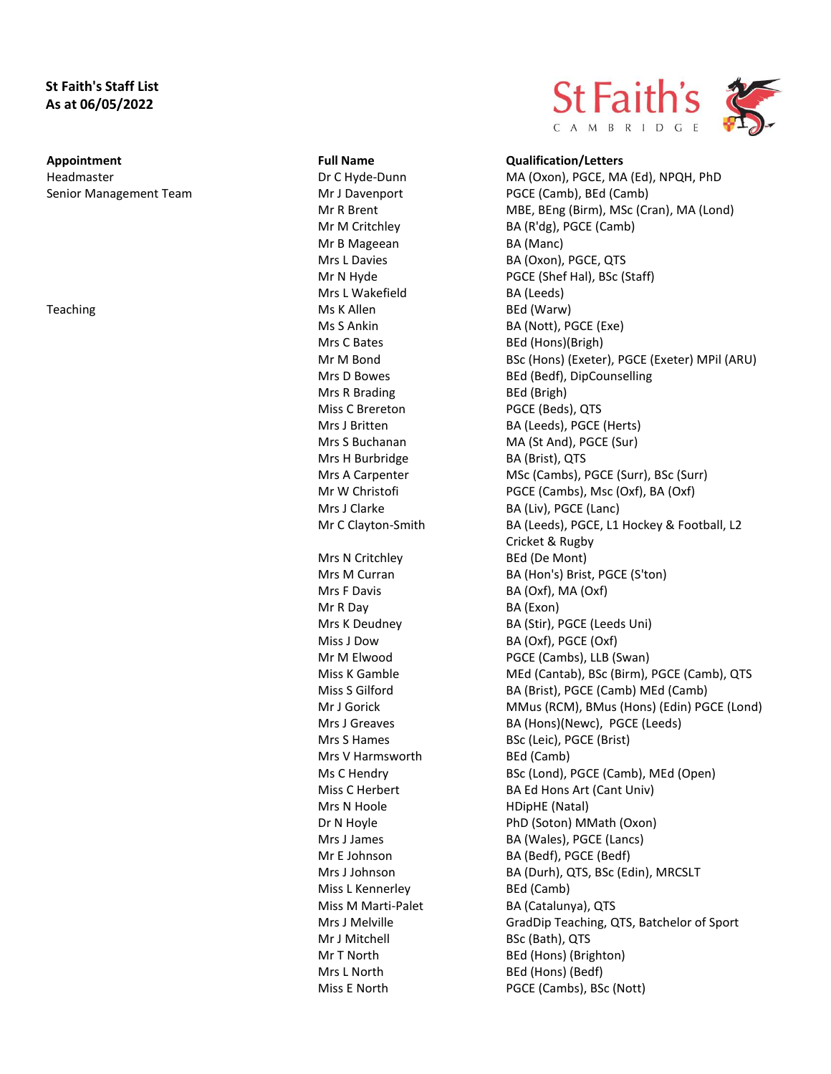# **St Faith's Staff List As at 06/05/2022**

Senior Management Team Mr J Davenport PGCE (Camb), BEd (Camb)

Mr B Mageean BA (Manc) Mrs L Wakefield BA (Leeds) Teaching and the Ms K Allen BED (Warw) Ms K Allen BED (Warw) Mrs C Bates BEd (Hons)(Brigh) Mrs R Brading BEd (Brigh) Miss C Brereton PGCE (Beds), QTS Mrs H Burbridge BA (Brist), QTS Mrs N Critchley BEd (De Mont) Mrs F Davis BA (Oxf), MA (Oxf) Mr R Day BA (Exon) Mrs V Harmsworth BEd (Camb) Mrs N Hoole **HDipHE** (Natal) Miss L Kennerley BEd (Camb) Mr J Mitchell BSc (Bath), QTS Mrs L North BEd (Hons) (Bedf)



### **Appointment Full Name Qualification/Letters**

Headmaster **MA (Oxon), PGCE, MA (Ed), NPQH, PhD** Dr C Hyde-Dunn MA (Oxon), PGCE, MA (Ed), NPQH, PhD Mr R Brent MBE, BEng (Birm), MSc (Cran), MA (Lond) Mr M Critchley BA (R'dg), PGCE (Camb) Mrs L Davies BA (Oxon), PGCE, QTS Mr N Hyde PGCE (Shef Hal), BSc (Staff) Ms S Ankin BA (Nott), PGCE (Exe) Mr M Bond BSc (Hons) (Exeter), PGCE (Exeter) MPil (ARU) Mrs D Bowes BEd (Bedf), DipCounselling Mrs J Britten BA (Leeds), PGCE (Herts) Mrs S Buchanan MA (St And), PGCE (Sur) Mrs A Carpenter MSc (Cambs), PGCE (Surr), BSc (Surr) Mr W Christofi PGCE (Cambs), Msc (Oxf), BA (Oxf) Mrs J Clarke BA (Liv), PGCE (Lanc) Mr C Clayton-Smith BA (Leeds), PGCE, L1 Hockey & Football, L2 Cricket & Rugby Mrs M Curran BA (Hon's) Brist, PGCE (S'ton) Mrs K Deudney BA (Stir), PGCE (Leeds Uni) Miss J Dow BA (Oxf), PGCE (Oxf) Mr M Elwood PGCE (Cambs), LLB (Swan) Miss K Gamble MEd (Cantab), BSc (Birm), PGCE (Camb), QTS Miss S Gilford BA (Brist), PGCE (Camb) MEd (Camb) Mr J Gorick MMus (RCM), BMus (Hons) (Edin) PGCE (Lond) Mrs J Greaves BA (Hons)(Newc), PGCE (Leeds) Mrs S Hames BSc (Leic), PGCE (Brist) Ms C Hendry BSc (Lond), PGCE (Camb), MEd (Open) Miss C Herbert BA Ed Hons Art (Cant Univ) Dr N Hoyle PhD (Soton) MMath (Oxon) Mrs J James BA (Wales), PGCE (Lancs) Mr E Johnson BA (Bedf), PGCE (Bedf) Mrs J Johnson BA (Durh), QTS, BSc (Edin), MRCSLT Miss M Marti-Palet BA (Catalunya), QTS Mrs J Melville GradDip Teaching, QTS, Batchelor of Sport Mr T North BEd (Hons) (Brighton) Miss E North PGCE (Cambs), BSc (Nott)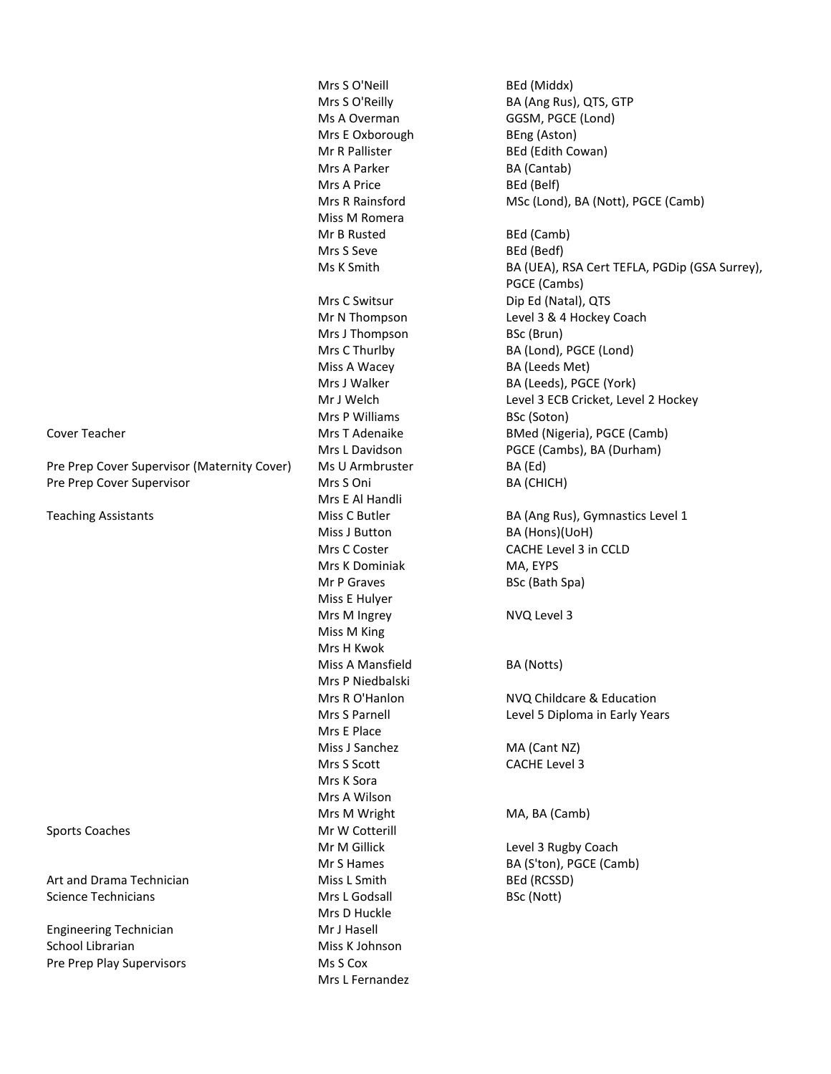Pre Prep Cover Supervisor (Maternity Cover) Ms U Armbruster BA (Ed) Pre Prep Cover Supervisor **Mrs S** Oni **BA (CHICH)** 

Art and Drama Technician **Miss L Smith** BED (RCSSD) Science Technicians and BSC (Nott) and BSC (Nott) BSC (Nott)

Engineering Technician Mr J Hasell School Librarian Miss K Johnson Pre Prep Play Supervisors Ms S Cox

Mrs E Oxborough BEng (Aston) Mr R Pallister BEd (Edith Cowan) Mrs A Parker BA (Cantab) Mrs A Price BEd (Belf) Miss M Romera Mr B Rusted BEd (Camb) Mrs S Seve BEd (Bedf) Mrs C Switsur Dip Ed (Natal), QTS Mrs J Thompson BSc (Brun) Miss A Wacey BA (Leeds Met) Mrs P Williams BSc (Soton) Mrs E Al Handli Miss J Button BA (Hons)(UoH) Mrs K Dominiak MA, EYPS Mr P Graves BSc (Bath Spa) Miss E Hulyer Mrs M Ingrey NVQ Level 3 Miss M King Mrs H Kwok Miss A Mansfield BA (Notts) Mrs P Niedbalski Mrs E Place Miss J Sanchez MA (Cant NZ) Mrs S Scott CACHE Level 3 Mrs K Sora Mrs A Wilson Mrs M Wright MA, BA (Camb) Sports Coaches Mr W Cotterill Mr M Gillick Level 3 Rugby Coach Mrs D Huckle Mrs L Fernandez

Mrs S O'Neill BEd (Middx) Mrs S O'Reilly BA (Ang Rus), QTS, GTP Ms A Overman GGSM, PGCE (Lond) Mrs R Rainsford MSc (Lond), BA (Nott), PGCE (Camb)

Ms K Smith BA (UEA), RSA Cert TEFLA, PGDip (GSA Surrey), PGCE (Cambs) Mr N Thompson Level 3 & 4 Hockey Coach Mrs C Thurlby BA (Lond), PGCE (Lond) Mrs J Walker BA (Leeds), PGCE (York) Mr J Welch Level 3 ECB Cricket, Level 2 Hockey Cover Teacher **Mrs T Adenaike** BMed (Nigeria), PGCE (Camb) Mrs L Davidson PGCE (Cambs), BA (Durham)

Teaching Assistants **Miss C Butler** BA (Ang Rus), Gymnastics Level 1 Mrs C Coster **CACHE Level 3** in CCLD

Mrs R O'Hanlon NVQ Childcare & Education Mrs S Parnell **Level 5 Diploma in Early Years** 

Mr S Hames BA (S'ton), PGCE (Camb)